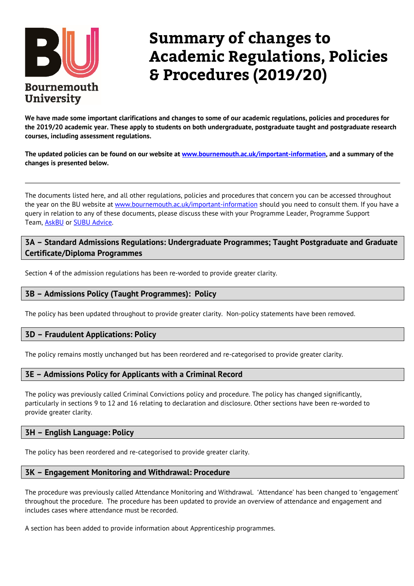

# **Summary of changes to Academic Regulations, Policies & Procedures (2019/20)**

**We have made some important clarifications and changes to some of our academic regulations, policies and procedures for the 2019/20 academic year. These apply to students on both undergraduate, postgraduate taught and postgraduate research courses, including assessment regulations.**

**The updated policies can be found on our website at [www.bournemouth.ac.uk/important-information,](http://www.bournemouth.ac.uk/important-information) and a summary of the changes is presented below.**

The documents listed here, and all other regulations, policies and procedures that concern you can be accessed throughout the year on the BU website at [www.bournemouth.ac.uk/important-information](http://www.bournemouth.ac.uk/important-information) should you need to consult them. If you have a query in relation to any of these documents, please discuss these with your Programme Leader, Programme Support Team, [AskBU](https://www1.bournemouth.ac.uk/students/contact-us) or [SUBU Advice.](https://www.subu.org.uk/advice)

# **3A – Standard Admissions Regulations: Undergraduate Programmes; Taught Postgraduate and Graduate Certificate/Diploma Programmes**

Section 4 of the admission regulations has been re-worded to provide greater clarity.

## **3B – Admissions Policy (Taught Programmes): Policy**

The policy has been updated throughout to provide greater clarity. Non-policy statements have been removed.

## **3D – Fraudulent Applications: Policy**

The policy remains mostly unchanged but has been reordered and re-categorised to provide greater clarity.

## **3E – Admissions Policy for Applicants with a Criminal Record**

The policy was previously called Criminal Convictions policy and procedure. The policy has changed significantly, particularly in sections 9 to 12 and 16 relating to declaration and disclosure. Other sections have been re-worded to provide greater clarity.

## **3H – English Language: Policy**

The policy has been reordered and re-categorised to provide greater clarity.

## **3K – Engagement Monitoring and Withdrawal: Procedure**

The procedure was previously called Attendance Monitoring and Withdrawal. 'Attendance' has been changed to 'engagement' throughout the procedure. The procedure has been updated to provide an overview of attendance and engagement and includes cases where attendance must be recorded.

A section has been added to provide information about Apprenticeship programmes.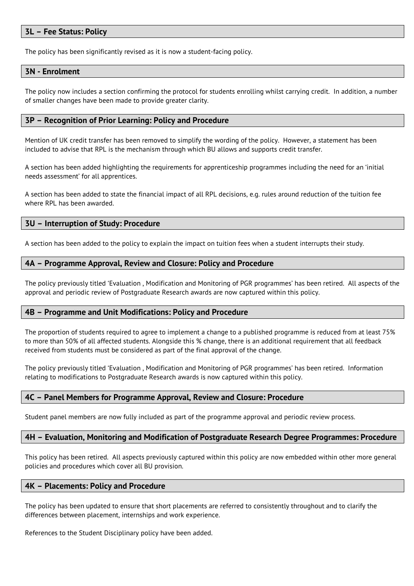## **3L – Fee Status: Policy**

The policy has been significantly revised as it is now a student-facing policy.

#### **3N - Enrolment**

The policy now includes a section confirming the protocol for students enrolling whilst carrying credit. In addition, a number of smaller changes have been made to provide greater clarity.

#### **3P – Recognition of Prior Learning: Policy and Procedure**

Mention of UK credit transfer has been removed to simplify the wording of the policy. However, a statement has been included to advise that RPL is the mechanism through which BU allows and supports credit transfer.

A section has been added highlighting the requirements for apprenticeship programmes including the need for an 'initial needs assessment' for all apprentices.

A section has been added to state the financial impact of all RPL decisions, e.g. rules around reduction of the tuition fee where RPL has been awarded.

#### **3U – Interruption of Study: Procedure**

A section has been added to the policy to explain the impact on tuition fees when a student interrupts their study.

#### **4A – Programme Approval, Review and Closure: Policy and Procedure**

The policy previously titled 'Evaluation , Modification and Monitoring of PGR programmes' has been retired. All aspects of the approval and periodic review of Postgraduate Research awards are now captured within this policy.

#### **4B – Programme and Unit Modifications: Policy and Procedure**

The proportion of students required to agree to implement a change to a published programme is reduced from at least 75% to more than 50% of all affected students. Alongside this % change, there is an additional requirement that all feedback received from students must be considered as part of the final approval of the change.

The policy previously titled 'Evaluation , Modification and Monitoring of PGR programmes' has been retired. Information relating to modifications to Postgraduate Research awards is now captured within this policy.

#### **4C – Panel Members for Programme Approval, Review and Closure: Procedure**

Student panel members are now fully included as part of the programme approval and periodic review process.

#### **4H – Evaluation, Monitoring and Modification of Postgraduate Research Degree Programmes: Procedure**

This policy has been retired. All aspects previously captured within this policy are now embedded within other more general policies and procedures which cover all BU provision.

#### **4K – Placements: Policy and Procedure**

The policy has been updated to ensure that short placements are referred to consistently throughout and to clarify the differences between placement, internships and work experience.

References to the Student Disciplinary policy have been added.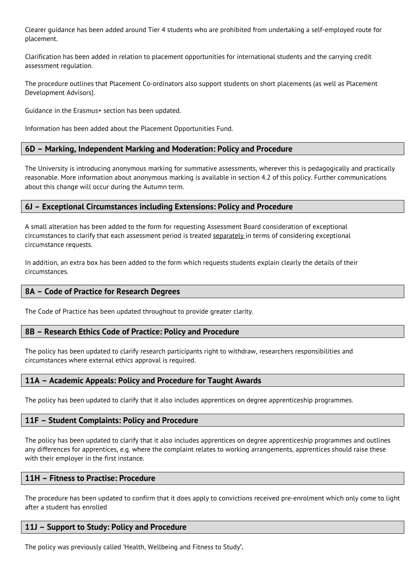Clearer guidance has been added around Tier 4 students who are prohibited from undertaking a self-employed route for placement.

Clarification has been added in relation to placement opportunities for international students and the carrying credit assessment regulation.

The procedure outlines that Placement Co-ordinators also support students on short placements (as well as Placement Development Advisors).

Guidance in the Erasmus+ section has been updated.

Information has been added about the Placement Opportunities Fund.

## **6D – Marking, Independent Marking and Moderation: Policy and Procedure**

The University is introducing anonymous marking for summative assessments, wherever this is pedagogically and practically reasonable. More information about anonymous marking is available in section 4.2 of this policy. Further communications about this change will occur during the Autumn term.

## **6J – Exceptional Circumstances including Extensions: Policy and Procedure**

A small alteration has been added to the form for requesting Assessment Board consideration of exceptional circumstances to clarify that each assessment period is treated separately in terms of considering exceptional circumstance requests.

In addition, an extra box has been added to the form which requests students explain clearly the details of their circumstances.

## **8A – Code of Practice for Research Degrees**

The Code of Practice has been updated throughout to provide greater clarity.

## **8B – Research Ethics Code of Practice: Policy and Procedure**

The policy has been updated to clarify research participants right to withdraw, researchers responsibilities and circumstances where external ethics approval is required.

## **11A – Academic Appeals: Policy and Procedure for Taught Awards**

The policy has been updated to clarify that it also includes apprentices on degree apprenticeship programmes.

## **11F – Student Complaints: Policy and Procedure**

The policy has been updated to clarify that it also includes apprentices on degree apprenticeship programmes and outlines any differences for apprentices, e.g. where the complaint relates to working arrangements, apprentices should raise these with their employer in the first instance.

## **11H – Fitness to Practise: Procedure**

The procedure has been updated to confirm that it does apply to convictions received pre-enrolment which only come to light after a student has enrolled

## **11J – Support to Study: Policy and Procedure**

The policy was previously called 'Health, Wellbeing and Fitness to Study**'.**